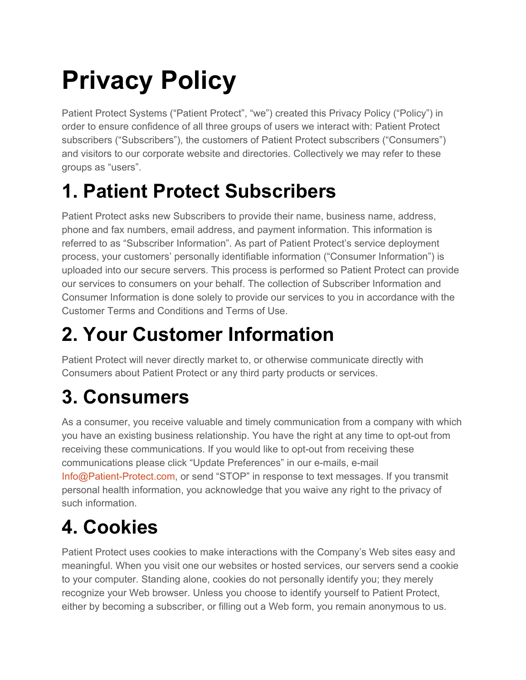# **Privacy Policy**

Patient Protect Systems ("Patient Protect", "we") created this Privacy Policy ("Policy") in order to ensure confidence of all three groups of users we interact with: Patient Protect subscribers ("Subscribers"), the customers of Patient Protect subscribers ("Consumers") and visitors to our corporate website and directories. Collectively we may refer to these groups as "users".

#### **1. Patient Protect Subscribers**

Patient Protect asks new Subscribers to provide their name, business name, address, phone and fax numbers, email address, and payment information. This information is referred to as "Subscriber Information". As part of Patient Protect's service deployment process, your customers' personally identifiable information ("Consumer Information") is uploaded into our secure servers. This process is performed so Patient Protect can provide our services to consumers on your behalf. The collection of Subscriber Information and Consumer Information is done solely to provide our services to you in accordance with the Customer Terms and Conditions and Terms of Use.

#### **2. Your Customer Information**

Patient Protect will never directly market to, or otherwise communicate directly with Consumers about Patient Protect or any third party products or services.

## **3. Consumers**

As a consumer, you receive valuable and timely communication from a company with which you have an existing business relationship. You have the right at any time to opt-out from receiving these communications. If you would like to opt-out from receiving these communications please click "Update Preferences" in our e-mails, e-mail Info@Patient-Protect.com, or send "STOP" in response to text messages. If you transmit personal health information, you acknowledge that you waive any right to the privacy of such information.

## **4. Cookies**

Patient Protect uses cookies to make interactions with the Company's Web sites easy and meaningful. When you visit one our websites or hosted services, our servers send a cookie to your computer. Standing alone, cookies do not personally identify you; they merely recognize your Web browser. Unless you choose to identify yourself to Patient Protect, either by becoming a subscriber, or filling out a Web form, you remain anonymous to us.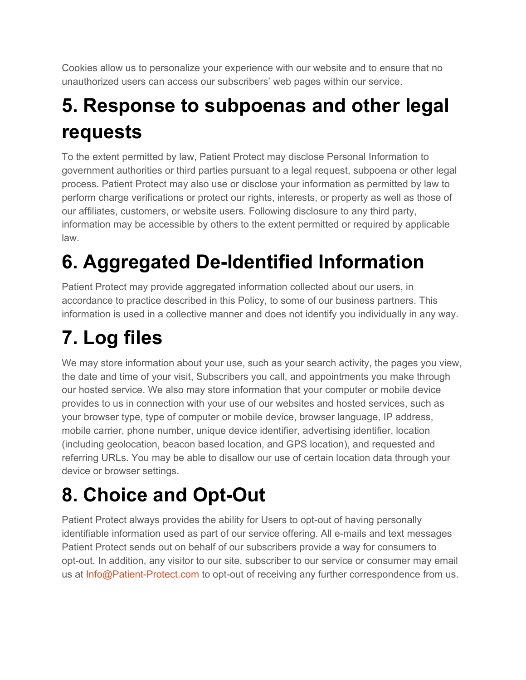Cookies allow us to personalize your experience with our website and to ensure that no unauthorized users can access our subscribers' web pages within our service.

#### **5. Response to subpoenas and other legal requests**

To the extent permitted by law, Patient Protect may disclose Personal Information to government authorities or third parties pursuant to a legal request, subpoena or other legal process. Patient Protect may also use or disclose your information as permitted by law to perform charge verifications or protect our rights, interests, or property as well as those of our affiliates, customers, or website users. Following disclosure to any third party, information may be accessible by others to the extent permitted or required by applicable law.

## **6. Aggregated De-Identified Information**

Patient Protect may provide aggregated information collected about our users, in accordance to practice described in this Policy, to some of our business partners. This information is used in a collective manner and does not identify you individually in any way.

## **7. Log files**

We may store information about your use, such as your search activity, the pages you view, the date and time of your visit, Subscribers you call, and appointments you make through our hosted service. We also may store information that your computer or mobile device provides to us in connection with your use of our websites and hosted services, such as your browser type, type of computer or mobile device, browser language, IP address, mobile carrier, phone number, unique device identifier, advertising identifier, location (including geolocation, beacon based location, and GPS location), and requested and referring URLs. You may be able to disallow our use of certain location data through your device or browser settings.

## **8. Choice and Opt-Out**

Patient Protect always provides the ability for Users to opt-out of having personally identifiable information used as part of our service offering. All e-mails and text messages Patient Protect sends out on behalf of our subscribers provide a way for consumers to opt-out. In addition, any visitor to our site, subscriber to our service or consumer may email us at Info@Patient-Protect.com to opt-out of receiving any further correspondence from us.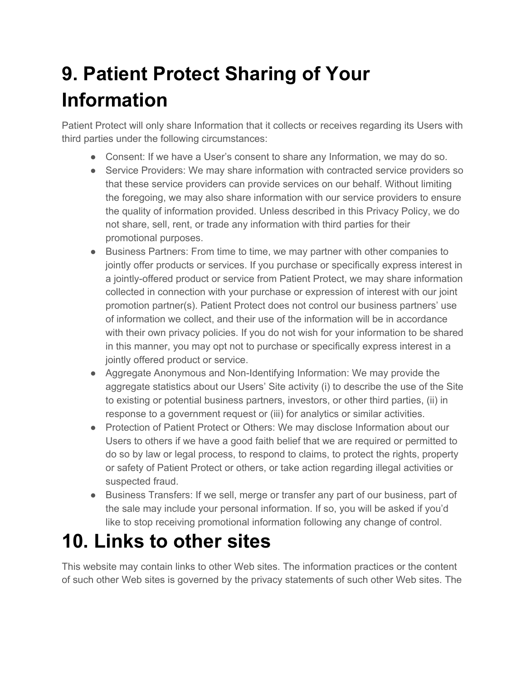#### **9. Patient Protect Sharing of Your Information**

Patient Protect will only share Information that it collects or receives regarding its Users with third parties under the following circumstances:

- Consent: If we have a User's consent to share any Information, we may do so.
- Service Providers: We may share information with contracted service providers so that these service providers can provide services on our behalf. Without limiting the foregoing, we may also share information with our service providers to ensure the quality of information provided. Unless described in this Privacy Policy, we do not share, sell, rent, or trade any information with third parties for their promotional purposes.
- Business Partners: From time to time, we may partner with other companies to jointly offer products or services. If you purchase or specifically express interest in a jointly-offered product or service from Patient Protect, we may share information collected in connection with your purchase or expression of interest with our joint promotion partner(s). Patient Protect does not control our business partners' use of information we collect, and their use of the information will be in accordance with their own privacy policies. If you do not wish for your information to be shared in this manner, you may opt not to purchase or specifically express interest in a jointly offered product or service.
- Aggregate Anonymous and Non-Identifying Information: We may provide the aggregate statistics about our Users' Site activity (i) to describe the use of the Site to existing or potential business partners, investors, or other third parties, (ii) in response to a government request or (iii) for analytics or similar activities.
- Protection of Patient Protect or Others: We may disclose Information about our Users to others if we have a good faith belief that we are required or permitted to do so by law or legal process, to respond to claims, to protect the rights, property or safety of Patient Protect or others, or take action regarding illegal activities or suspected fraud.
- Business Transfers: If we sell, merge or transfer any part of our business, part of the sale may include your personal information. If so, you will be asked if you'd like to stop receiving promotional information following any change of control.

#### **10. Links to other sites**

This website may contain links to other Web sites. The information practices or the content of such other Web sites is governed by the privacy statements of such other Web sites. The